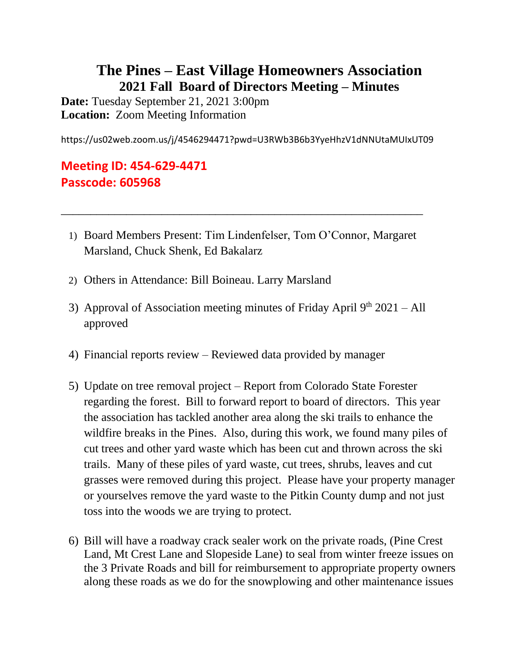## **The Pines – East Village Homeowners Association 2021 Fall Board of Directors Meeting – Minutes**

**Date:** Tuesday September 21, 2021 3:00pm **Location:** Zoom Meeting Information

https://us02web.zoom.us/j/4546294471?pwd=U3RWb3B6b3YyeHhzV1dNNUtaMUIxUT09

## **Meeting ID: 454-629-4471 Passcode: 605968**

1) Board Members Present: Tim Lindenfelser, Tom O'Connor, Margaret Marsland, Chuck Shenk, Ed Bakalarz

\_\_\_\_\_\_\_\_\_\_\_\_\_\_\_\_\_\_\_\_\_\_\_\_\_\_\_\_\_\_\_\_\_\_\_\_\_\_\_\_\_\_\_\_\_\_\_\_\_\_\_\_\_\_\_\_\_\_\_\_\_

- 2) Others in Attendance: Bill Boineau. Larry Marsland
- 3) Approval of Association meeting minutes of Friday April  $9<sup>th</sup> 2021 All$ approved
- 4) Financial reports review Reviewed data provided by manager
- 5) Update on tree removal project Report from Colorado State Forester regarding the forest. Bill to forward report to board of directors. This year the association has tackled another area along the ski trails to enhance the wildfire breaks in the Pines. Also, during this work, we found many piles of cut trees and other yard waste which has been cut and thrown across the ski trails. Many of these piles of yard waste, cut trees, shrubs, leaves and cut grasses were removed during this project. Please have your property manager or yourselves remove the yard waste to the Pitkin County dump and not just toss into the woods we are trying to protect.
- 6) Bill will have a roadway crack sealer work on the private roads, (Pine Crest Land, Mt Crest Lane and Slopeside Lane) to seal from winter freeze issues on the 3 Private Roads and bill for reimbursement to appropriate property owners along these roads as we do for the snowplowing and other maintenance issues